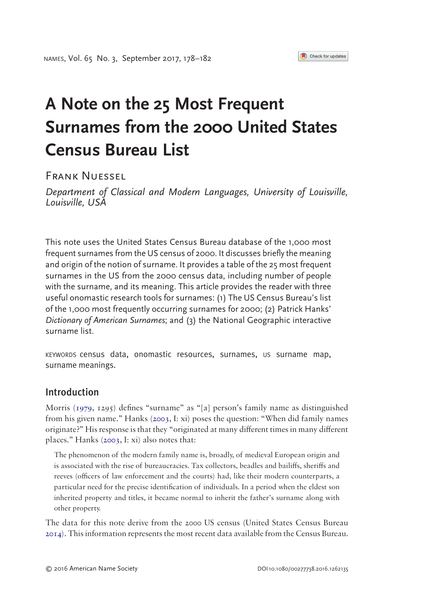# **A Note on the 25 Most Frequent Surnames from the 2000 United States Census Bureau List**

FRANK NUFSSEL

*Department of Classical and Modern Languages, University of Louisville, Louisville, USA*

This note uses the United States Census Bureau database of the 1,000 most frequent surnames from the US census of 2000. It discusses briefly the meaning and origin of the notion of surname. It provides a table of the 25 most frequent surnames in the US from the 2000 census data, including number of people with the surname, and its meaning. This article provides the reader with three useful onomastic research tools for surnames: (1) The US Census Bureau's list of the 1,000 most frequently occurring surnames for 2000; (2) Patrick Hanks' *Dictionary of American Surnames*; and (3) the National Geographic interactive surname list.

KEYWORDS census data, onomastic resources, surnames, us surname map, surname meanings.

## Introduction

<span id="page-0-1"></span>Morris [\(1979,](#page-3-0) 1295) defines "surname" as "[a] person's family name as distinguished from his given name." Hanks ([2003,](#page-3-1) I: xi) poses the question: "When did family names originate?" His response is that they "originated at many different times in many different places." Hanks ([2003,](#page-3-1) I: xi) also notes that:

<span id="page-0-0"></span>The phenomenon of the modern family name is, broadly, of medieval European origin and is associated with the rise of bureaucracies. Tax collectors, beadles and bailiffs, sheriffs and reeves (officers of law enforcement and the courts) had, like their modern counterparts, a particular need for the precise identification of individuals. In a period when the eldest son inherited property and titles, it became normal to inherit the father's surname along with other property.

<span id="page-0-2"></span>The data for this note derive from the 2000 US census (United States Census Bureau [2014\)](#page-3-2). This information represents the most recent data available from the Census Bureau.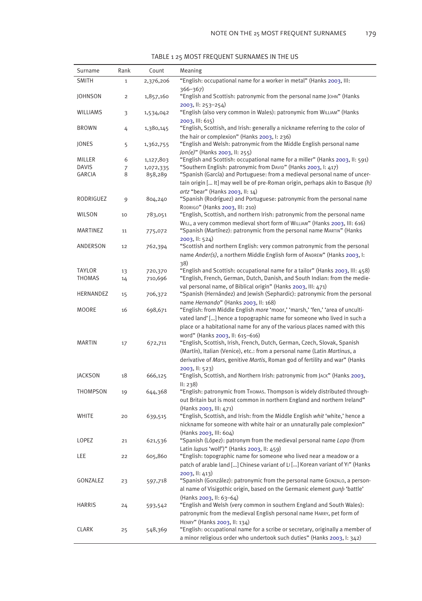TABLE 1 25 MOST FREQUENT SURNAMES IN THE US

| Surname       | Rank           | Count              | Meaning                                                                                                                                                                                                                                                                                                                                                                                                                          |
|---------------|----------------|--------------------|----------------------------------------------------------------------------------------------------------------------------------------------------------------------------------------------------------------------------------------------------------------------------------------------------------------------------------------------------------------------------------------------------------------------------------|
| <b>SMITH</b>  | $\mathbf{1}$   | 2,376,206          | "English: occupational name for a worker in metal" (Hanks 2003, III:                                                                                                                                                                                                                                                                                                                                                             |
|               |                |                    | $366 - 367$                                                                                                                                                                                                                                                                                                                                                                                                                      |
| JOHNSON       | $\overline{c}$ | 1,857,160          | "English and Scottish: patronymic from the personal name JOHN" (Hanks                                                                                                                                                                                                                                                                                                                                                            |
| WILLIAMS      | 3              | 1,534,042          | $2003$ , II: $253 - 254$<br>"English (also very common in Wales): patronymic from WILLIAM" (Hanks                                                                                                                                                                                                                                                                                                                                |
| <b>BROWN</b>  | 4              | 1,380,145          | $2003,$ III: 615)<br>"English, Scottish, and Irish: generally a nickname referring to the color of                                                                                                                                                                                                                                                                                                                               |
| JONES         | 5              | 1,362,755          | the hair or complexion" (Hanks 2003, I: 236)<br>"English and Welsh: patronymic from the Middle English personal name                                                                                                                                                                                                                                                                                                             |
| <b>MILLER</b> | 6              | 1,127,803          | Jon(e)" (Hanks 2003, II: 255)<br>"English and Scottish: occupational name for a miller" (Hanks 2003, II: 591)                                                                                                                                                                                                                                                                                                                    |
| <b>DAVIS</b>  | 7              | 1,072,335          | "Southern English: patronymic from DAVID" (Hanks 2003, I: 417)                                                                                                                                                                                                                                                                                                                                                                   |
| GARCIA        | 8              | 858,289            | "Spanish (García) and Portuguese: from a medieval personal name of uncer-<br>tain origin [ It] may well be of pre-Roman origin, perhaps akin to Basque (h)<br>artz "bear" (Hanks 2003, II: 14)                                                                                                                                                                                                                                   |
| RODRIGUEZ     | 9              | 804,240            | "Spanish (Rodríguez) and Portuguese: patronymic from the personal name<br>RODRIGO" (Hanks 2003, III: 210)                                                                                                                                                                                                                                                                                                                        |
| WILSON        | 10             | 783,051            | "English, Scottish, and northern Irish: patronymic from the personal name                                                                                                                                                                                                                                                                                                                                                        |
| MARTINEZ      | 11             | 775,072            | WILL, a very common medieval short form of WILLIAM" (Hanks 2003, III: 616)<br>"Spanish (Martínez): patronymic from the personal name MARTIN" (Hanks                                                                                                                                                                                                                                                                              |
| ANDERSON      | 12             | 762,394            | 2003, ll: 524)<br>"Scottish and northern English: very common patronymic from the personal                                                                                                                                                                                                                                                                                                                                       |
|               |                |                    | name Ander(s), a northern Middle English form of ANDREW" (Hanks 2003, I:                                                                                                                                                                                                                                                                                                                                                         |
| TAYLOR        |                |                    | 38)<br>"English and Scottish: occupational name for a tailor" (Hanks 2003, III: 458)                                                                                                                                                                                                                                                                                                                                             |
| THOMAS        | 13<br>14       | 720,370<br>710,696 | "English, French, German, Dutch, Danish, and South Indian: from the medie-                                                                                                                                                                                                                                                                                                                                                       |
|               |                |                    | val personal name, of Biblical origin" (Hanks 2003, III: 471)                                                                                                                                                                                                                                                                                                                                                                    |
| HERNANDEZ     | 15             | 706,372            | "Spanish (Hernández) and Jewish (Sephardic): patronymic from the personal                                                                                                                                                                                                                                                                                                                                                        |
| MOORE         | 16             | 698,671            | name Hernando" (Hanks 2003, II: 168)<br>"English: from Middle English more 'moor,' 'marsh,' 'fen,' 'area of unculti-                                                                                                                                                                                                                                                                                                             |
| MARTIN        | 17             | 672,711            | vated land' [] hence a topographic name for someone who lived in such a<br>place or a habitational name for any of the various places named with this<br>word" (Hanks 2003, II: 615-616)<br>"English, Scottish, Irish, French, Dutch, German, Czech, Slovak, Spanish<br>(Martín), Italian (Venice), etc.: from a personal name (Latin Martinus, a<br>derivative of Mars, genitive Martis, Roman god of fertility and war" (Hanks |
| JACKSON       | 18             | 666,125            | 2003, ll: 523)<br>"English, Scottish, and Northern Irish: patronymic from JACK" (Hanks 2003,                                                                                                                                                                                                                                                                                                                                     |
| THOMPSON      | 19             | 644,368            | II: 238<br>"English: patronymic from Thomas. Thompson is widely distributed through-                                                                                                                                                                                                                                                                                                                                             |
|               |                |                    | out Britain but is most common in northern England and northern Ireland"                                                                                                                                                                                                                                                                                                                                                         |
| WHITE         | 20             | 639,515            | (Hanks 2003, III: 471)<br>"English, Scottish, and Irish: from the Middle English whit 'white,' hence a<br>nickname for someone with white hair or an unnaturally pale complexion"                                                                                                                                                                                                                                                |
| LOPEZ         | 21             | 621,536            | (Hanks 2003, III: 604)<br>"Spanish (López): patronym from the medieval personal name Lopo (from                                                                                                                                                                                                                                                                                                                                  |
|               |                |                    | Latin lupus 'wolf')" (Hanks 2003, II: 459)                                                                                                                                                                                                                                                                                                                                                                                       |
| LEE           | 22             | 605,860            | "English: topographic name for someone who lived near a meadow or a<br>patch of arable land [] Chinese variant of LI [] Korean variant of YI" (Hanks                                                                                                                                                                                                                                                                             |
| GONZALEZ      | 23             | 597,718            | $2003,$ II: 413)<br>"Spanish (González): patronymic from the personal name GonzALO, a person-<br>al name of Visigothic origin, based on the Germanic element gunb 'battle'                                                                                                                                                                                                                                                       |
| <b>HARRIS</b> | 24             | 593,542            | (Hanks 2003, II: 63-64)<br>"English and Welsh (very common in southern England and South Wales):<br>patronymic from the medieval English personal name HARRY, pet form of                                                                                                                                                                                                                                                        |
| CLARK         | 25             | 548,369            | HENRY" (Hanks 2003, II: 134)<br>"English: occupational name for a scribe or secretary, originally a member of<br>a minor religious order who undertook such duties" (Hanks 2003, I: 342)                                                                                                                                                                                                                                         |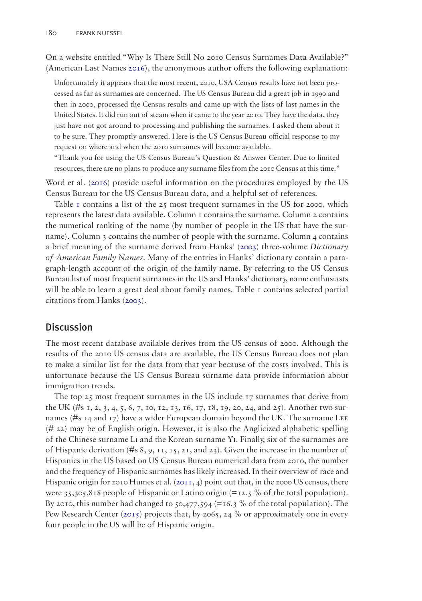On a website entitled "Why Is There Still No 2010 Census Surnames Data Available?" (American Last Names [2016](#page-4-0)), the anonymous author offers the following explanation:

<span id="page-2-3"></span>Unfortunately it appears that the most recent, 2010, USA Census results have not been processed as far as surnames are concerned. The US Census Bureau did a great job in 1990 and then in 2000, processed the Census results and came up with the lists of last names in the United States. It did run out of steam when it came to the year 2010. They have the data, they just have not got around to processing and publishing the surnames. I asked them about it to be sure. They promptly answered. Here is the US Census Bureau official response to my request on where and when the 2010 surnames will become available.

<span id="page-2-2"></span>"Thank you for using the US Census Bureau's Question & Answer Center. Due to limited resources, there are no plans to produce any surname files from the 2010 Census at this time."

Word et al. [\(2016](#page-4-1)) provide useful information on the procedures employed by the US Census Bureau for the US Census Bureau data, and a helpful set of references.

Table  $\bar{1}$  contains a list of the 25 most frequent surnames in the US for 2000, which represents the latest data available. Column 1 contains the surname. Column 2 contains the numerical ranking of the name (by number of people in the US that have the surname). Column  $\alpha$  contains the number of people with the surname. Column  $\alpha$  contains a brief meaning of the surname derived from Hanks' ([2003\)](#page-3-1) three-volume *Dictionary of American Family Names*. Many of the entries in Hanks' dictionary contain a paragraph-length account of the origin of the family name. By referring to the US Census Bureau list of most frequent surnames in the US and Hanks' dictionary, name enthusiasts will be able to learn a great deal about family names. Table  $\tau$  contains selected partial citations from Hanks [\(2003](#page-3-1)).

#### Discussion

The most recent database available derives from the US census of 2000. Although the results of the 2010 US census data are available, the US Census Bureau does not plan to make a similar list for the data from that year because of the costs involved. This is unfortunate because the US Census Bureau surname data provide information about immigration trends.

<span id="page-2-1"></span><span id="page-2-0"></span>The top 25 most frequent surnames in the US include 17 surnames that derive from the UK (#s 1, 2, 3, 4, 5, 6, 7, 10, 12, 13, 16, 17, 18, 19, 20, 24, and 25). Another two surnames (#s  $14$  and  $17$ ) have a wider European domain beyond the UK. The surname LEE (# 22) may be of English origin. However, it is also the Anglicized alphabetic spelling of the Chinese surname Li and the Korean surname Yi. Finally, six of the surnames are of Hispanic derivation (#s  $8, 9, 11, 15, 21,$  and  $23$ ). Given the increase in the number of Hispanics in the US based on US Census Bureau numerical data from 2010, the number and the frequency of Hispanic surnames has likely increased. In their overview of race and Hispanic origin for 2010 Humes et al. ([2011,](#page-3-3) 4) point out that, in the 2000 US census, there were  $35,305,818$  people of Hispanic or Latino origin (=12.5 % of the total population). By 2010, this number had changed to  $50,477,594$  (=16.3 % of the total population). The Pew Research Center [\(2015](#page-3-4)) projects that, by 2065, 24 % or approximately one in every four people in the US will be of Hispanic origin.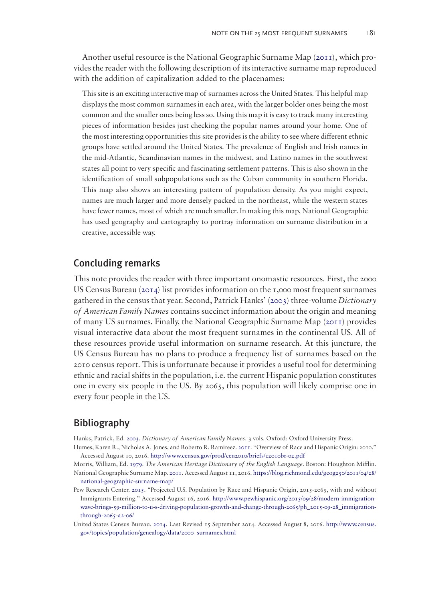Another useful resource is the National Geographic Surname Map [\(2011\)](#page-3-5), which provides the reader with the following description of its interactive surname map reproduced with the addition of capitalization added to the placenames:

<span id="page-3-6"></span>This site is an exciting interactive map of surnames across the United States. This helpful map displays the most common surnames in each area, with the larger bolder ones being the most common and the smaller ones being less so. Using this map it is easy to track many interesting pieces of information besides just checking the popular names around your home. One of the most interesting opportunities this site provides is the ability to see where different ethnic groups have settled around the United States. The prevalence of English and Irish names in the mid-Atlantic, Scandinavian names in the midwest, and Latino names in the southwest states all point to very specific and fascinating settlement patterns. This is also shown in the identification of small subpopulations such as the Cuban community in southern Florida. This map also shows an interesting pattern of population density. As you might expect, names are much larger and more densely packed in the northeast, while the western states have fewer names, most of which are much smaller. In making this map, National Geographic has used geography and cartography to portray information on surname distribution in a creative, accessible way.

#### Concluding remarks

This note provides the reader with three important onomastic resources. First, the 2000 US Census Bureau [\(2014](#page-3-2)) list provides information on the 1,000 most frequent surnames gathered in the census that year. Second, Patrick Hanks' ([2003](#page-3-1)) three-volume *Dictionary of American Family Names* contains succinct information about the origin and meaning of many US surnames. Finally, the National Geographic Surname Map ([2011](#page-3-5)) provides visual interactive data about the most frequent surnames in the continental US. All of these resources provide useful information on surname research. At this juncture, the US Census Bureau has no plans to produce a frequency list of surnames based on the 2010 census report. This is unfortunate because it provides a useful tool for determining ethnic and racial shifts in the population, i.e. the current Hispanic population constitutes one in every six people in the US. By 2065, this population will likely comprise one in every four people in the US.

## Bibliography

<span id="page-3-1"></span>Hanks, Patrick, Ed. [2003](#page-0-0). *Dictionary of American Family Names*. 3 vols. Oxford: Oxford University Press.

- <span id="page-3-3"></span>Humes, Karen R., Nicholas A. Jones, and Roberto R. Ramíreez. [2011.](#page-2-0) "Overview of Race and Hispanic Origin: 2010." Accessed August 10, 2016. <http://www.census.gov/prod/cen2010/briefs/c2010br-02.pdf>
- <span id="page-3-0"></span>Morris, William, Ed. [1979](#page-0-1). *The American Heritage Dictionary of the English Language*. Boston: Houghton Mifflin.
- <span id="page-3-5"></span>National Geographic Surname Map. [2011](#page-3-6). Accessed August 11, 2016. [https://blog.richmond.edu/geog250/2011/04/28/](https://blog.richmond.edu/geog250/2011/04/28/national-geographic-surname-map/) [national-geographic-surname-map/](https://blog.richmond.edu/geog250/2011/04/28/national-geographic-surname-map/)
- <span id="page-3-4"></span>Pew Research Center. [2015](#page-2-1). "Projected U.S. Population by Race and Hispanic Origin, 2015-2065, with and without Immigrants Entering." Accessed August 16, 2016. [http://www.pewhispanic.org/2015/09/28/modern-immigration](http://www.pewhispanic.org/2015/09/28/modern-immigration-wave-brings-59-million-to-u-s-driving-population-growth-and-change-through-2065/ph_2015-09-28_immigration-through-2065-a2-06/)[wave-brings-59-million-to-u-s-driving-population-growth-and-change-through-2065/ph\\_2015-09-28\\_immigration](http://www.pewhispanic.org/2015/09/28/modern-immigration-wave-brings-59-million-to-u-s-driving-population-growth-and-change-through-2065/ph_2015-09-28_immigration-through-2065-a2-06/)[through-2065-a2-06/](http://www.pewhispanic.org/2015/09/28/modern-immigration-wave-brings-59-million-to-u-s-driving-population-growth-and-change-through-2065/ph_2015-09-28_immigration-through-2065-a2-06/)
- <span id="page-3-2"></span>United States Census Bureau. [2014.](#page-0-2) Last Revised 15 September 2014. Accessed August 8, 2016. [http://www.census.](http://www.census.gov/topics/population/genealogy/data/2000_surnames.html) [gov/topics/population/genealogy/data/2000\\_surnames.html](http://www.census.gov/topics/population/genealogy/data/2000_surnames.html)